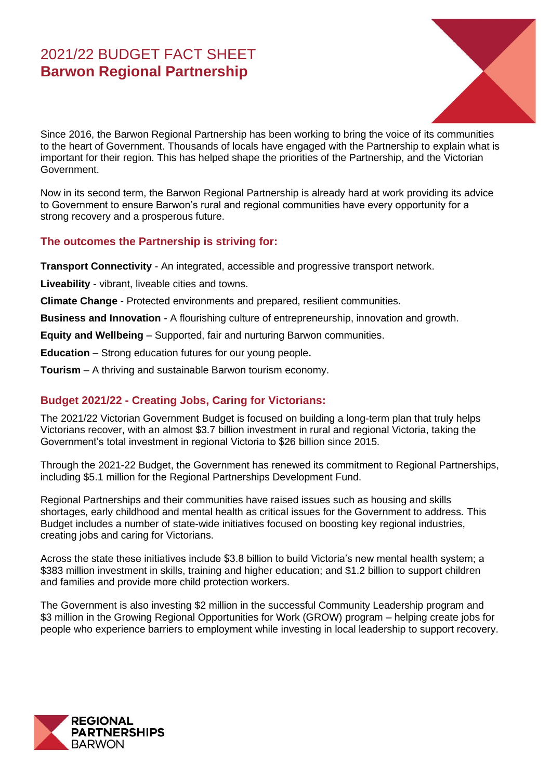# 2021/22 BUDGET FACT SHEET **Barwon Regional Partnership**



Since 2016, the Barwon Regional Partnership has been working to bring the voice of its communities to the heart of Government. Thousands of locals have engaged with the Partnership to explain what is important for their region. This has helped shape the priorities of the Partnership, and the Victorian Government.

Now in its second term, the Barwon Regional Partnership is already hard at work providing its advice to Government to ensure Barwon's rural and regional communities have every opportunity for a strong recovery and a prosperous future.

## **The outcomes the Partnership is striving for:**

**Transport Connectivity** - An integrated, accessible and progressive transport network.

**Liveability** - vibrant, liveable cities and towns.

**Climate Change** - Protected environments and prepared, resilient communities.

**Business and Innovation** - A flourishing culture of entrepreneurship, innovation and growth.

**Equity and Wellbeing** – Supported, fair and nurturing Barwon communities.

**Education** – Strong education futures for our young people**.**

**Tourism** – A thriving and sustainable Barwon tourism economy.

## **Budget 2021/22 - Creating Jobs, Caring for Victorians:**

The 2021/22 Victorian Government Budget is focused on building a long-term plan that truly helps Victorians recover, with an almost \$3.7 billion investment in rural and regional Victoria, taking the Government's total investment in regional Victoria to \$26 billion since 2015.

Through the 2021-22 Budget, the Government has renewed its commitment to Regional Partnerships, including \$5.1 million for the Regional Partnerships Development Fund.

Regional Partnerships and their communities have raised issues such as housing and skills shortages, early childhood and mental health as critical issues for the Government to address. This Budget includes a number of state-wide initiatives focused on boosting key regional industries, creating jobs and caring for Victorians.

Across the state these initiatives include \$3.8 billion to build Victoria's new mental health system; a \$383 million investment in skills, training and higher education; and \$1.2 billion to support children and families and provide more child protection workers.

The Government is also investing \$2 million in the successful Community Leadership program and \$3 million in the Growing Regional Opportunities for Work (GROW) program – helping create jobs for people who experience barriers to employment while investing in local leadership to support recovery.

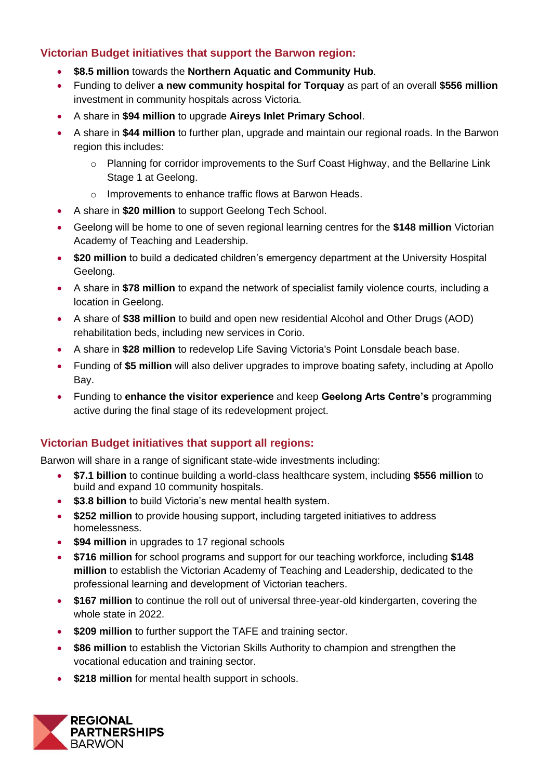## **Victorian Budget initiatives that support the Barwon region:**

- **\$8.5 million** towards the **Northern Aquatic and Community Hub**.
- Funding to deliver **a new community hospital for Torquay** as part of an overall **\$556 million** investment in community hospitals across Victoria.
- A share in **\$94 million** to upgrade **Aireys Inlet Primary School**.
- A share in **\$44 million** to further plan, upgrade and maintain our regional roads. In the Barwon region this includes:
	- o Planning for corridor improvements to the Surf Coast Highway, and the Bellarine Link Stage 1 at Geelong.
	- o Improvements to enhance traffic flows at Barwon Heads.
- A share in **\$20 million** to support Geelong Tech School.
- Geelong will be home to one of seven regional learning centres for the **\$148 million** Victorian Academy of Teaching and Leadership.
- **\$20 million** to build a dedicated children's emergency department at the University Hospital Geelong.
- A share in **\$78 million** to expand the network of specialist family violence courts, including a location in Geelong.
- A share of **\$38 million** to build and open new residential Alcohol and Other Drugs (AOD) rehabilitation beds, including new services in Corio.
- A share in **\$28 million** to redevelop Life Saving Victoria's Point Lonsdale beach base.
- Funding of **\$5 million** will also deliver upgrades to improve boating safety, including at Apollo Bay.
- Funding to **enhance the visitor experience** and keep **Geelong Arts Centre's** programming active during the final stage of its redevelopment project.

## **Victorian Budget initiatives that support all regions:**

Barwon will share in a range of significant state-wide investments including:

- **\$7.1 billion** to continue building a world-class healthcare system, including **\$556 million** to build and expand 10 community hospitals.
- **\$3.8 billion** to build Victoria's new mental health system.
- **\$252 million** to provide housing support, including targeted initiatives to address homelessness.
- **\$94 million** in upgrades to 17 regional schools
- **\$716 million** for school programs and support for our teaching workforce, including **\$148 million** to establish the Victorian Academy of Teaching and Leadership, dedicated to the professional learning and development of Victorian teachers.
- \$167 million to continue the roll out of universal three-year-old kindergarten, covering the whole state in 2022.
- **\$209 million** to further support the TAFE and training sector.
- **\$86 million** to establish the Victorian Skills Authority to champion and strengthen the vocational education and training sector.
- **\$218 million** for mental health support in schools.